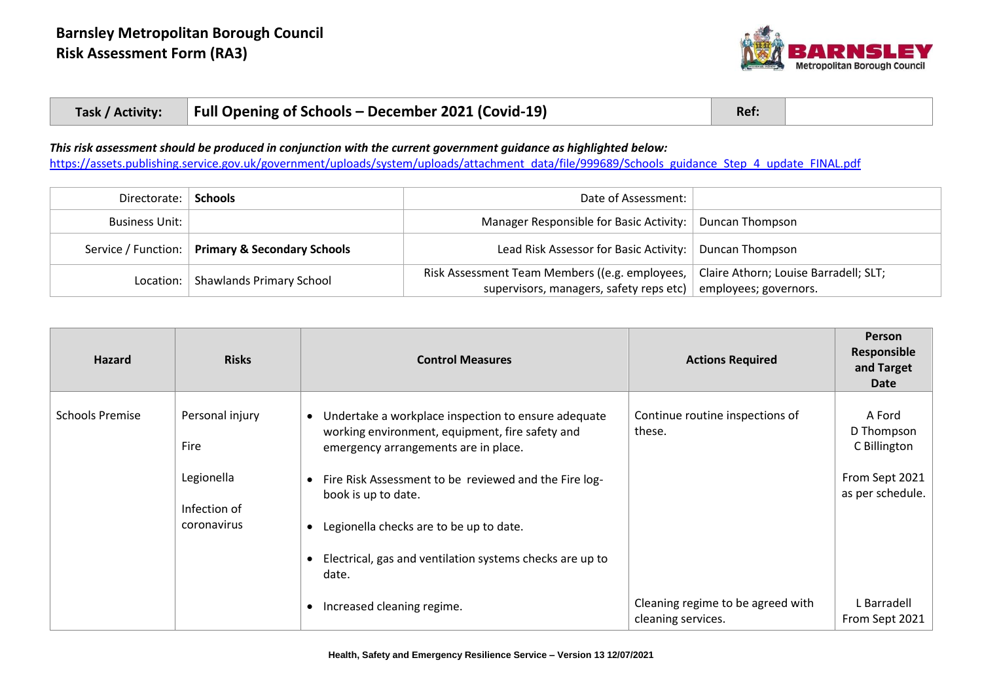

| Full Opening of Schools – December 2021 (Covid-19)<br>Task / Activity: | Ref: |  |
|------------------------------------------------------------------------|------|--|
|------------------------------------------------------------------------|------|--|

*This risk assessment should be produced in conjunction with the current government guidance as highlighted below:*

[https://assets.publishing.service.gov.uk/government/uploads/system/uploads/attachment\\_data/file/999689/Schools\\_guidance\\_Step\\_4\\_update\\_FINAL.pdf](https://assets.publishing.service.gov.uk/government/uploads/system/uploads/attachment_data/file/999689/Schools_guidance_Step_4_update_FINAL.pdf)

| Directorate:          | <b>Schools</b>                                    | Date of Assessment:                                                                       |                                                                |
|-----------------------|---------------------------------------------------|-------------------------------------------------------------------------------------------|----------------------------------------------------------------|
| <b>Business Unit:</b> |                                                   | Manager Responsible for Basic Activity:   Duncan Thompson                                 |                                                                |
|                       | Service / Function:   Primary & Secondary Schools | Lead Risk Assessor for Basic Activity:   Duncan Thompson                                  |                                                                |
| Location: $\vert$     | <b>Shawlands Primary School</b>                   | Risk Assessment Team Members ((e.g. employees,<br>supervisors, managers, safety reps etc) | Claire Athorn; Louise Barradell; SLT;<br>employees; governors. |

| <b>Hazard</b>          | <b>Risks</b>                                                         | <b>Control Measures</b>                                                                                                                                                                                                                                                                                                                                                                 | <b>Actions Required</b>                                 | <b>Person</b><br>Responsible<br>and Target<br>Date                         |
|------------------------|----------------------------------------------------------------------|-----------------------------------------------------------------------------------------------------------------------------------------------------------------------------------------------------------------------------------------------------------------------------------------------------------------------------------------------------------------------------------------|---------------------------------------------------------|----------------------------------------------------------------------------|
| <b>Schools Premise</b> | Personal injury<br>Fire<br>Legionella<br>Infection of<br>coronavirus | Undertake a workplace inspection to ensure adequate<br>$\bullet$<br>working environment, equipment, fire safety and<br>emergency arrangements are in place.<br>• Fire Risk Assessment to be reviewed and the Fire log-<br>book is up to date.<br>Legionella checks are to be up to date.<br>$\bullet$<br>Electrical, gas and ventilation systems checks are up to<br>$\bullet$<br>date. | Continue routine inspections of<br>these.               | A Ford<br>D Thompson<br>C Billington<br>From Sept 2021<br>as per schedule. |
|                        |                                                                      | Increased cleaning regime.<br>$\bullet$                                                                                                                                                                                                                                                                                                                                                 | Cleaning regime to be agreed with<br>cleaning services. | L Barradell<br>From Sept 2021                                              |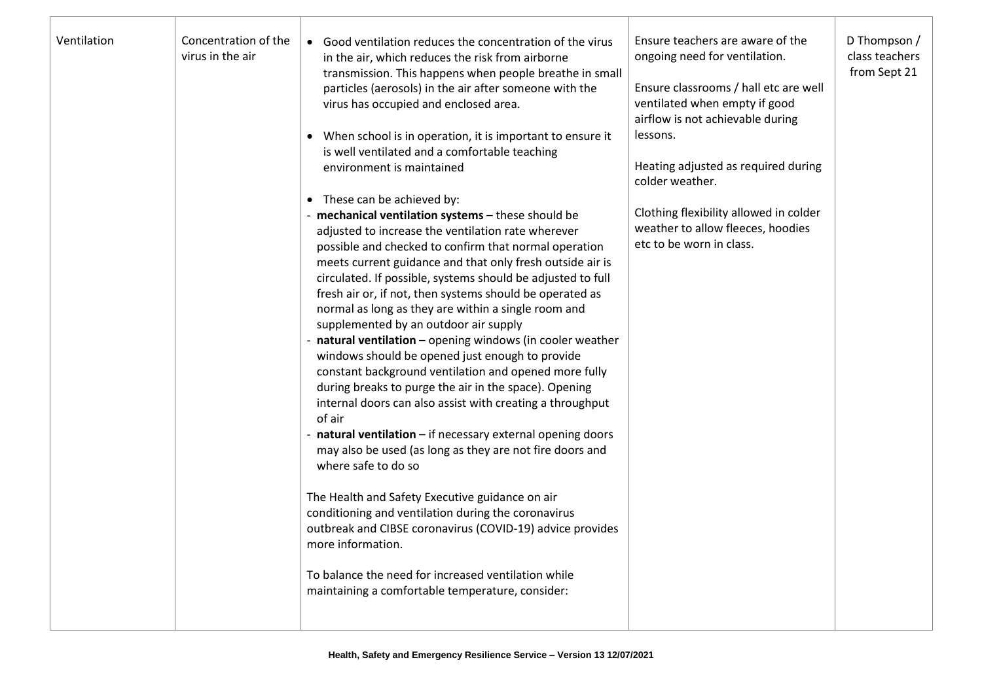| Ventilation | Concentration of the<br>virus in the air | • Good ventilation reduces the concentration of the virus<br>in the air, which reduces the risk from airborne<br>transmission. This happens when people breathe in small<br>particles (aerosols) in the air after someone with the<br>virus has occupied and enclosed area.<br>• When school is in operation, it is important to ensure it<br>is well ventilated and a comfortable teaching<br>environment is maintained<br>• These can be achieved by:<br>- mechanical ventilation systems - these should be<br>adjusted to increase the ventilation rate wherever<br>possible and checked to confirm that normal operation<br>meets current guidance and that only fresh outside air is<br>circulated. If possible, systems should be adjusted to full<br>fresh air or, if not, then systems should be operated as<br>normal as long as they are within a single room and<br>supplemented by an outdoor air supply<br>natural ventilation - opening windows (in cooler weather<br>windows should be opened just enough to provide<br>constant background ventilation and opened more fully<br>during breaks to purge the air in the space). Opening<br>internal doors can also assist with creating a throughput<br>of air<br>natural ventilation - if necessary external opening doors<br>may also be used (as long as they are not fire doors and<br>where safe to do so<br>The Health and Safety Executive guidance on air<br>conditioning and ventilation during the coronavirus<br>outbreak and CIBSE coronavirus (COVID-19) advice provides<br>more information.<br>To balance the need for increased ventilation while<br>maintaining a comfortable temperature, consider: | Ensure teachers are aware of the<br>ongoing need for ventilation.<br>Ensure classrooms / hall etc are well<br>ventilated when empty if good<br>airflow is not achievable during<br>lessons.<br>Heating adjusted as required during<br>colder weather.<br>Clothing flexibility allowed in colder<br>weather to allow fleeces, hoodies<br>etc to be worn in class. | D Thompson /<br>class teachers<br>from Sept 21 |
|-------------|------------------------------------------|-------------------------------------------------------------------------------------------------------------------------------------------------------------------------------------------------------------------------------------------------------------------------------------------------------------------------------------------------------------------------------------------------------------------------------------------------------------------------------------------------------------------------------------------------------------------------------------------------------------------------------------------------------------------------------------------------------------------------------------------------------------------------------------------------------------------------------------------------------------------------------------------------------------------------------------------------------------------------------------------------------------------------------------------------------------------------------------------------------------------------------------------------------------------------------------------------------------------------------------------------------------------------------------------------------------------------------------------------------------------------------------------------------------------------------------------------------------------------------------------------------------------------------------------------------------------------------------------------------------------------------------------------------------------------------------|------------------------------------------------------------------------------------------------------------------------------------------------------------------------------------------------------------------------------------------------------------------------------------------------------------------------------------------------------------------|------------------------------------------------|
|             |                                          |                                                                                                                                                                                                                                                                                                                                                                                                                                                                                                                                                                                                                                                                                                                                                                                                                                                                                                                                                                                                                                                                                                                                                                                                                                                                                                                                                                                                                                                                                                                                                                                                                                                                                     |                                                                                                                                                                                                                                                                                                                                                                  |                                                |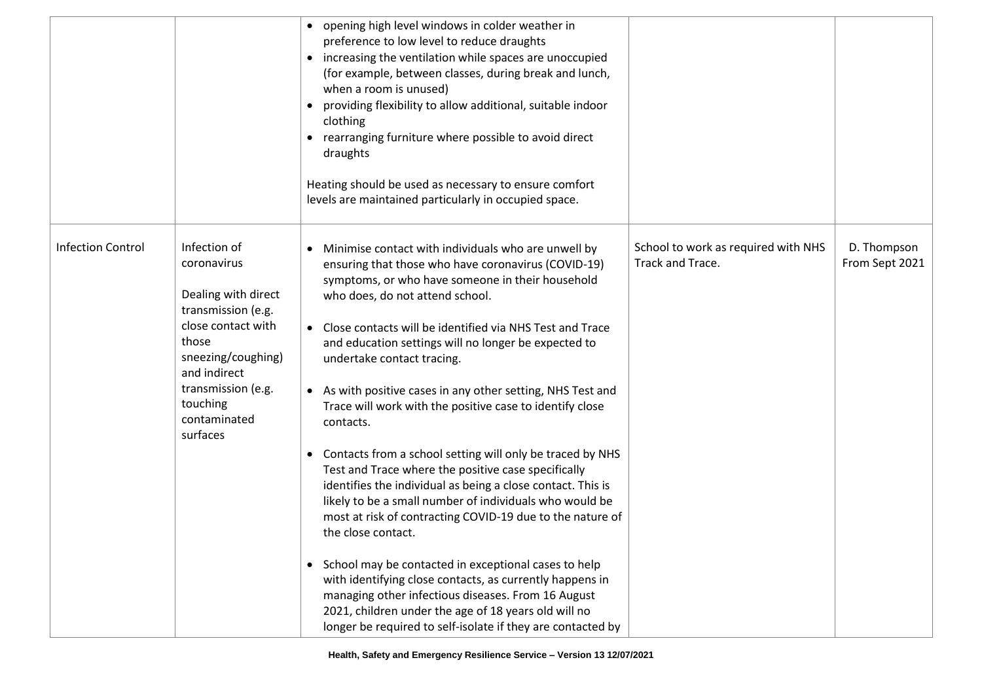|                          |                                                                                                                                                                                                             | • opening high level windows in colder weather in<br>preference to low level to reduce draughts<br>• increasing the ventilation while spaces are unoccupied<br>(for example, between classes, during break and lunch,<br>when a room is unused)<br>providing flexibility to allow additional, suitable indoor<br>clothing<br>• rearranging furniture where possible to avoid direct<br>draughts<br>Heating should be used as necessary to ensure comfort<br>levels are maintained particularly in occupied space.                                                                                                                                                                                                                                                                                                                                                                                                                                                                                                                                                                                                                                |                                                         |                               |
|--------------------------|-------------------------------------------------------------------------------------------------------------------------------------------------------------------------------------------------------------|--------------------------------------------------------------------------------------------------------------------------------------------------------------------------------------------------------------------------------------------------------------------------------------------------------------------------------------------------------------------------------------------------------------------------------------------------------------------------------------------------------------------------------------------------------------------------------------------------------------------------------------------------------------------------------------------------------------------------------------------------------------------------------------------------------------------------------------------------------------------------------------------------------------------------------------------------------------------------------------------------------------------------------------------------------------------------------------------------------------------------------------------------|---------------------------------------------------------|-------------------------------|
| <b>Infection Control</b> | Infection of<br>coronavirus<br>Dealing with direct<br>transmission (e.g.<br>close contact with<br>those<br>sneezing/coughing)<br>and indirect<br>transmission (e.g.<br>touching<br>contaminated<br>surfaces | • Minimise contact with individuals who are unwell by<br>ensuring that those who have coronavirus (COVID-19)<br>symptoms, or who have someone in their household<br>who does, do not attend school.<br>• Close contacts will be identified via NHS Test and Trace<br>and education settings will no longer be expected to<br>undertake contact tracing.<br>• As with positive cases in any other setting, NHS Test and<br>Trace will work with the positive case to identify close<br>contacts.<br>Contacts from a school setting will only be traced by NHS<br>$\bullet$<br>Test and Trace where the positive case specifically<br>identifies the individual as being a close contact. This is<br>likely to be a small number of individuals who would be<br>most at risk of contracting COVID-19 due to the nature of<br>the close contact.<br>• School may be contacted in exceptional cases to help<br>with identifying close contacts, as currently happens in<br>managing other infectious diseases. From 16 August<br>2021, children under the age of 18 years old will no<br>longer be required to self-isolate if they are contacted by | School to work as required with NHS<br>Track and Trace. | D. Thompson<br>From Sept 2021 |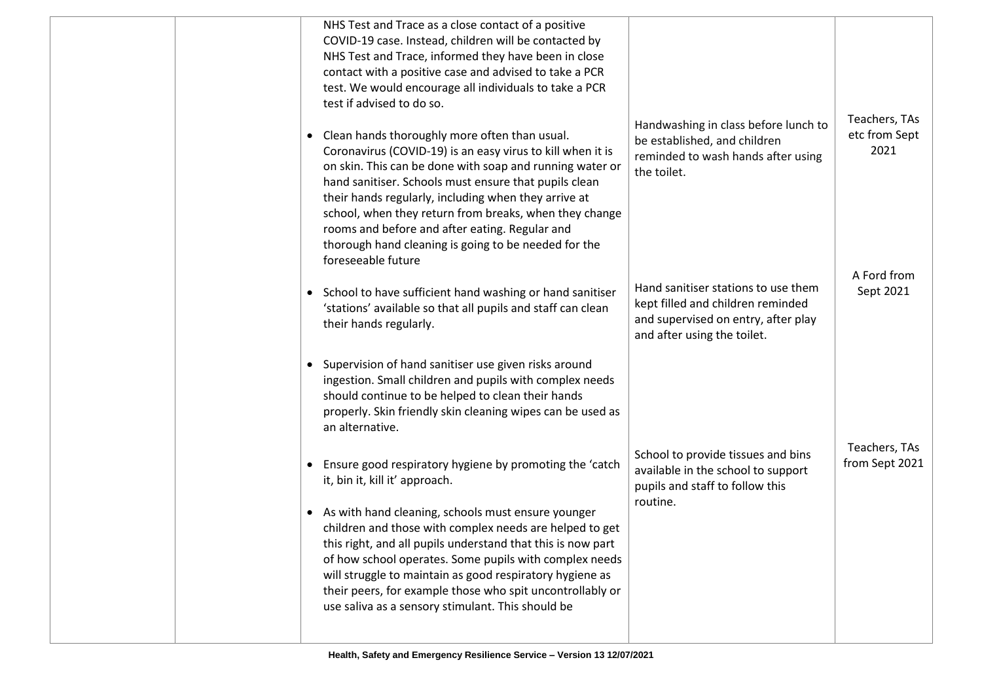|  | NHS Test and Trace as a close contact of a positive<br>COVID-19 case. Instead, children will be contacted by<br>NHS Test and Trace, informed they have been in close<br>contact with a positive case and advised to take a PCR<br>test. We would encourage all individuals to take a PCR<br>test if advised to do so.<br>Clean hands thoroughly more often than usual.<br>Coronavirus (COVID-19) is an easy virus to kill when it is<br>on skin. This can be done with soap and running water or<br>hand sanitiser. Schools must ensure that pupils clean<br>their hands regularly, including when they arrive at<br>school, when they return from breaks, when they change<br>rooms and before and after eating. Regular and<br>thorough hand cleaning is going to be needed for the<br>foreseeable future | Handwashing in class before lunch to<br>be established, and children<br>reminded to wash hands after using<br>the toilet.                      | Teachers, TAs<br>etc from Sept<br>2021<br>A Ford from |
|--|-------------------------------------------------------------------------------------------------------------------------------------------------------------------------------------------------------------------------------------------------------------------------------------------------------------------------------------------------------------------------------------------------------------------------------------------------------------------------------------------------------------------------------------------------------------------------------------------------------------------------------------------------------------------------------------------------------------------------------------------------------------------------------------------------------------|------------------------------------------------------------------------------------------------------------------------------------------------|-------------------------------------------------------|
|  | • School to have sufficient hand washing or hand sanitiser<br>'stations' available so that all pupils and staff can clean<br>their hands regularly.                                                                                                                                                                                                                                                                                                                                                                                                                                                                                                                                                                                                                                                         | Hand sanitiser stations to use them<br>kept filled and children reminded<br>and supervised on entry, after play<br>and after using the toilet. | Sept 2021                                             |
|  | • Supervision of hand sanitiser use given risks around<br>ingestion. Small children and pupils with complex needs<br>should continue to be helped to clean their hands<br>properly. Skin friendly skin cleaning wipes can be used as<br>an alternative.                                                                                                                                                                                                                                                                                                                                                                                                                                                                                                                                                     |                                                                                                                                                |                                                       |
|  | • Ensure good respiratory hygiene by promoting the 'catch<br>it, bin it, kill it' approach.<br>• As with hand cleaning, schools must ensure younger<br>children and those with complex needs are helped to get<br>this right, and all pupils understand that this is now part<br>of how school operates. Some pupils with complex needs<br>will struggle to maintain as good respiratory hygiene as<br>their peers, for example those who spit uncontrollably or<br>use saliva as a sensory stimulant. This should be                                                                                                                                                                                                                                                                                       | School to provide tissues and bins<br>available in the school to support<br>pupils and staff to follow this<br>routine.                        | Teachers, TAs<br>from Sept 2021                       |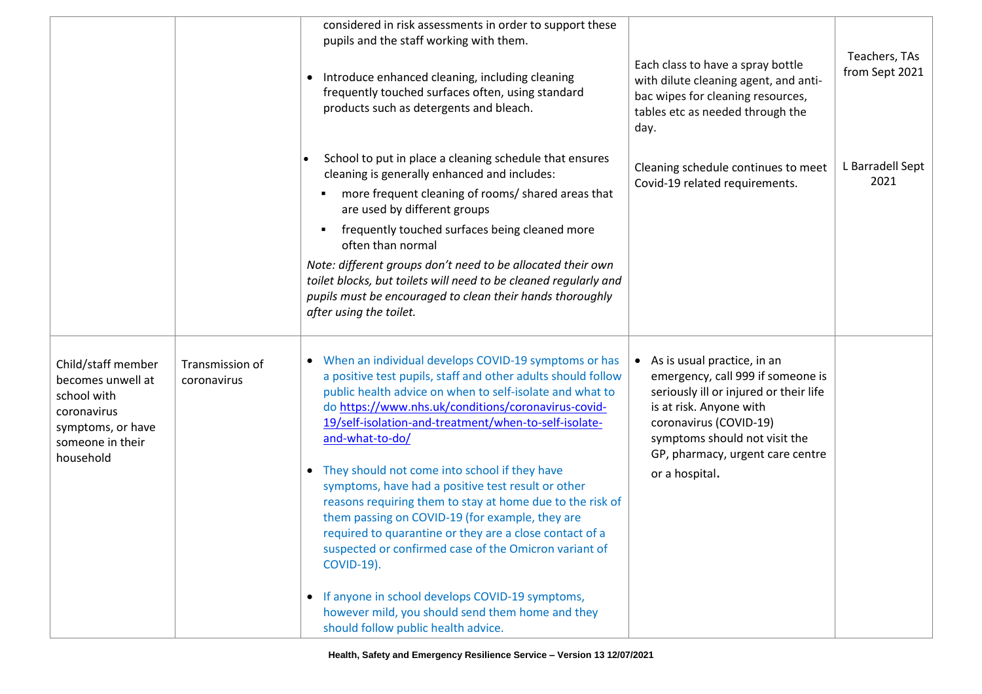|                                                                                                                             |                                | considered in risk assessments in order to support these<br>pupils and the staff working with them.<br>Introduce enhanced cleaning, including cleaning<br>$\bullet$<br>frequently touched surfaces often, using standard<br>products such as detergents and bleach.                                                                                                                                                                                                                                                                                                                                                                                                                                                                                                                                                                                | Each class to have a spray bottle<br>with dilute cleaning agent, and anti-<br>bac wipes for cleaning resources,<br>tables etc as needed through the<br>day.                                                                                              | Teachers, TAs<br>from Sept 2021 |
|-----------------------------------------------------------------------------------------------------------------------------|--------------------------------|----------------------------------------------------------------------------------------------------------------------------------------------------------------------------------------------------------------------------------------------------------------------------------------------------------------------------------------------------------------------------------------------------------------------------------------------------------------------------------------------------------------------------------------------------------------------------------------------------------------------------------------------------------------------------------------------------------------------------------------------------------------------------------------------------------------------------------------------------|----------------------------------------------------------------------------------------------------------------------------------------------------------------------------------------------------------------------------------------------------------|---------------------------------|
|                                                                                                                             |                                | School to put in place a cleaning schedule that ensures<br>cleaning is generally enhanced and includes:<br>more frequent cleaning of rooms/ shared areas that<br>$\blacksquare$<br>are used by different groups<br>frequently touched surfaces being cleaned more<br>٠<br>often than normal<br>Note: different groups don't need to be allocated their own<br>toilet blocks, but toilets will need to be cleaned regularly and<br>pupils must be encouraged to clean their hands thoroughly<br>after using the toilet.                                                                                                                                                                                                                                                                                                                             | Cleaning schedule continues to meet<br>Covid-19 related requirements.                                                                                                                                                                                    | L Barradell Sept<br>2021        |
| Child/staff member<br>becomes unwell at<br>school with<br>coronavirus<br>symptoms, or have<br>someone in their<br>household | Transmission of<br>coronavirus | • When an individual develops COVID-19 symptoms or has<br>a positive test pupils, staff and other adults should follow<br>public health advice on when to self-isolate and what to<br>do https://www.nhs.uk/conditions/coronavirus-covid-<br>19/self-isolation-and-treatment/when-to-self-isolate-<br>and-what-to-do/<br>They should not come into school if they have<br>$\bullet$<br>symptoms, have had a positive test result or other<br>reasons requiring them to stay at home due to the risk of<br>them passing on COVID-19 (for example, they are<br>required to quarantine or they are a close contact of a<br>suspected or confirmed case of the Omicron variant of<br><b>COVID-19).</b><br>• If anyone in school develops COVID-19 symptoms,<br>however mild, you should send them home and they<br>should follow public health advice. | • As is usual practice, in an<br>emergency, call 999 if someone is<br>seriously ill or injured or their life<br>is at risk. Anyone with<br>coronavirus (COVID-19)<br>symptoms should not visit the<br>GP, pharmacy, urgent care centre<br>or a hospital. |                                 |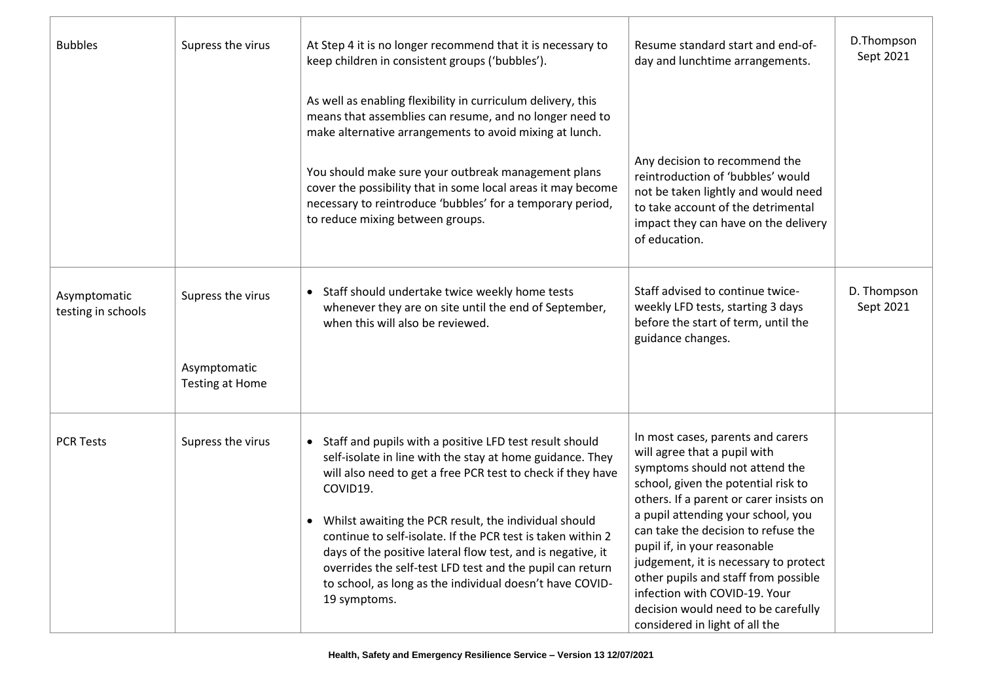| <b>Bubbles</b>                     | Supress the virus                                    | At Step 4 it is no longer recommend that it is necessary to<br>keep children in consistent groups ('bubbles').                                                                                                                                                                                                                                                                                                                                                                                                                                 | Resume standard start and end-of-<br>day and lunchtime arrangements.                                                                                                                                                                                                                                                                                                                                                                                                                          | D.Thompson<br>Sept 2021  |
|------------------------------------|------------------------------------------------------|------------------------------------------------------------------------------------------------------------------------------------------------------------------------------------------------------------------------------------------------------------------------------------------------------------------------------------------------------------------------------------------------------------------------------------------------------------------------------------------------------------------------------------------------|-----------------------------------------------------------------------------------------------------------------------------------------------------------------------------------------------------------------------------------------------------------------------------------------------------------------------------------------------------------------------------------------------------------------------------------------------------------------------------------------------|--------------------------|
|                                    |                                                      | As well as enabling flexibility in curriculum delivery, this<br>means that assemblies can resume, and no longer need to<br>make alternative arrangements to avoid mixing at lunch.                                                                                                                                                                                                                                                                                                                                                             |                                                                                                                                                                                                                                                                                                                                                                                                                                                                                               |                          |
|                                    |                                                      | You should make sure your outbreak management plans<br>cover the possibility that in some local areas it may become<br>necessary to reintroduce 'bubbles' for a temporary period,<br>to reduce mixing between groups.                                                                                                                                                                                                                                                                                                                          | Any decision to recommend the<br>reintroduction of 'bubbles' would<br>not be taken lightly and would need<br>to take account of the detrimental<br>impact they can have on the delivery<br>of education.                                                                                                                                                                                                                                                                                      |                          |
| Asymptomatic<br>testing in schools | Supress the virus<br>Asymptomatic<br>Testing at Home | • Staff should undertake twice weekly home tests<br>whenever they are on site until the end of September,<br>when this will also be reviewed.                                                                                                                                                                                                                                                                                                                                                                                                  | Staff advised to continue twice-<br>weekly LFD tests, starting 3 days<br>before the start of term, until the<br>guidance changes.                                                                                                                                                                                                                                                                                                                                                             | D. Thompson<br>Sept 2021 |
| <b>PCR Tests</b>                   | Supress the virus                                    | • Staff and pupils with a positive LFD test result should<br>self-isolate in line with the stay at home guidance. They<br>will also need to get a free PCR test to check if they have<br>COVID19.<br>Whilst awaiting the PCR result, the individual should<br>$\bullet$<br>continue to self-isolate. If the PCR test is taken within 2<br>days of the positive lateral flow test, and is negative, it<br>overrides the self-test LFD test and the pupil can return<br>to school, as long as the individual doesn't have COVID-<br>19 symptoms. | In most cases, parents and carers<br>will agree that a pupil with<br>symptoms should not attend the<br>school, given the potential risk to<br>others. If a parent or carer insists on<br>a pupil attending your school, you<br>can take the decision to refuse the<br>pupil if, in your reasonable<br>judgement, it is necessary to protect<br>other pupils and staff from possible<br>infection with COVID-19. Your<br>decision would need to be carefully<br>considered in light of all the |                          |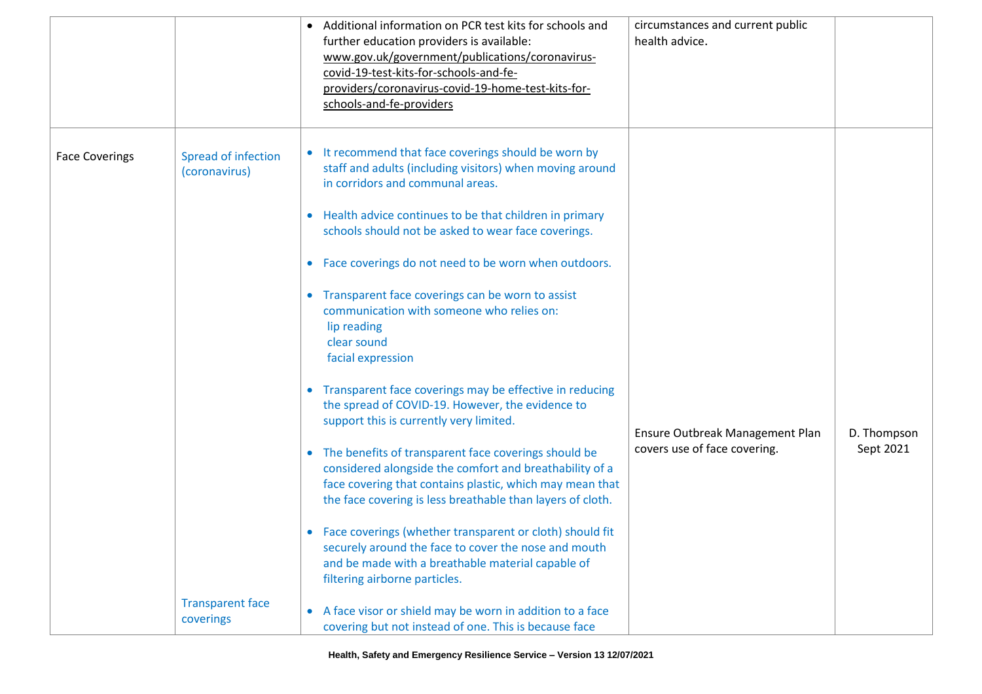|                       |                                                                              | • Additional information on PCR test kits for schools and<br>further education providers is available:<br>www.gov.uk/government/publications/coronavirus-<br>covid-19-test-kits-for-schools-and-fe-<br>providers/coronavirus-covid-19-home-test-kits-for-<br>schools-and-fe-providers                                                                                                                                                                                                                                                                                                                                                                                                                                                                                                                                                                                                                                                                                                                                                                                                                                                                                                                                                 | circumstances and current public<br>health advice.              |                          |
|-----------------------|------------------------------------------------------------------------------|---------------------------------------------------------------------------------------------------------------------------------------------------------------------------------------------------------------------------------------------------------------------------------------------------------------------------------------------------------------------------------------------------------------------------------------------------------------------------------------------------------------------------------------------------------------------------------------------------------------------------------------------------------------------------------------------------------------------------------------------------------------------------------------------------------------------------------------------------------------------------------------------------------------------------------------------------------------------------------------------------------------------------------------------------------------------------------------------------------------------------------------------------------------------------------------------------------------------------------------|-----------------------------------------------------------------|--------------------------|
| <b>Face Coverings</b> | Spread of infection<br>(coronavirus)<br><b>Transparent face</b><br>coverings | • It recommend that face coverings should be worn by<br>staff and adults (including visitors) when moving around<br>in corridors and communal areas.<br>• Health advice continues to be that children in primary<br>schools should not be asked to wear face coverings.<br>• Face coverings do not need to be worn when outdoors.<br>• Transparent face coverings can be worn to assist<br>communication with someone who relies on:<br>lip reading<br>clear sound<br>facial expression<br>• Transparent face coverings may be effective in reducing<br>the spread of COVID-19. However, the evidence to<br>support this is currently very limited.<br>• The benefits of transparent face coverings should be<br>considered alongside the comfort and breathability of a<br>face covering that contains plastic, which may mean that<br>the face covering is less breathable than layers of cloth.<br>• Face coverings (whether transparent or cloth) should fit<br>securely around the face to cover the nose and mouth<br>and be made with a breathable material capable of<br>filtering airborne particles.<br>• A face visor or shield may be worn in addition to a face<br>covering but not instead of one. This is because face | Ensure Outbreak Management Plan<br>covers use of face covering. | D. Thompson<br>Sept 2021 |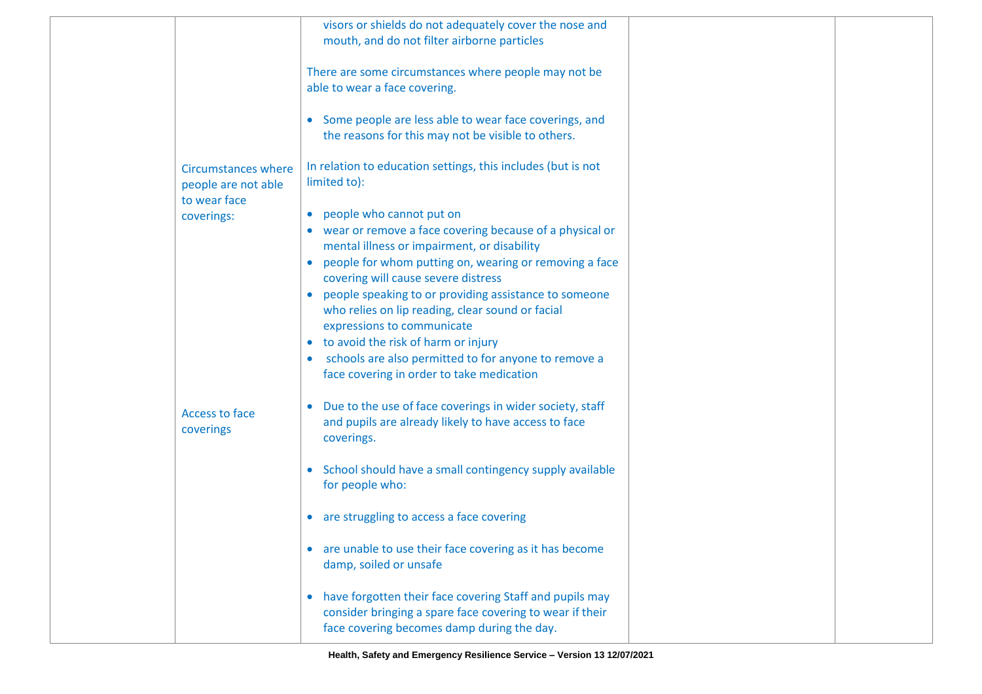|                                                                   | visors or shields do not adequately cover the nose and<br>mouth, and do not filter airborne particles                                                                          |  |
|-------------------------------------------------------------------|--------------------------------------------------------------------------------------------------------------------------------------------------------------------------------|--|
|                                                                   | There are some circumstances where people may not be<br>able to wear a face covering.                                                                                          |  |
|                                                                   | • Some people are less able to wear face coverings, and<br>the reasons for this may not be visible to others.                                                                  |  |
| <b>Circumstances where</b><br>people are not able<br>to wear face | In relation to education settings, this includes (but is not<br>limited to):                                                                                                   |  |
| coverings:                                                        | • people who cannot put on<br>• wear or remove a face covering because of a physical or<br>mental illness or impairment, or disability                                         |  |
|                                                                   | people for whom putting on, wearing or removing a face<br>$\bullet$<br>covering will cause severe distress                                                                     |  |
|                                                                   | people speaking to or providing assistance to someone<br>who relies on lip reading, clear sound or facial<br>expressions to communicate                                        |  |
|                                                                   | • to avoid the risk of harm or injury                                                                                                                                          |  |
|                                                                   | schools are also permitted to for anyone to remove a<br>face covering in order to take medication                                                                              |  |
| Access to face<br>coverings                                       | Due to the use of face coverings in wider society, staff<br>$\bullet$<br>and pupils are already likely to have access to face<br>coverings.                                    |  |
|                                                                   | School should have a small contingency supply available<br>for people who:                                                                                                     |  |
|                                                                   | are struggling to access a face covering<br>$\bullet$                                                                                                                          |  |
|                                                                   | are unable to use their face covering as it has become<br>$\bullet$<br>damp, soiled or unsafe                                                                                  |  |
|                                                                   | have forgotten their face covering Staff and pupils may<br>$\bullet$<br>consider bringing a spare face covering to wear if their<br>face covering becomes damp during the day. |  |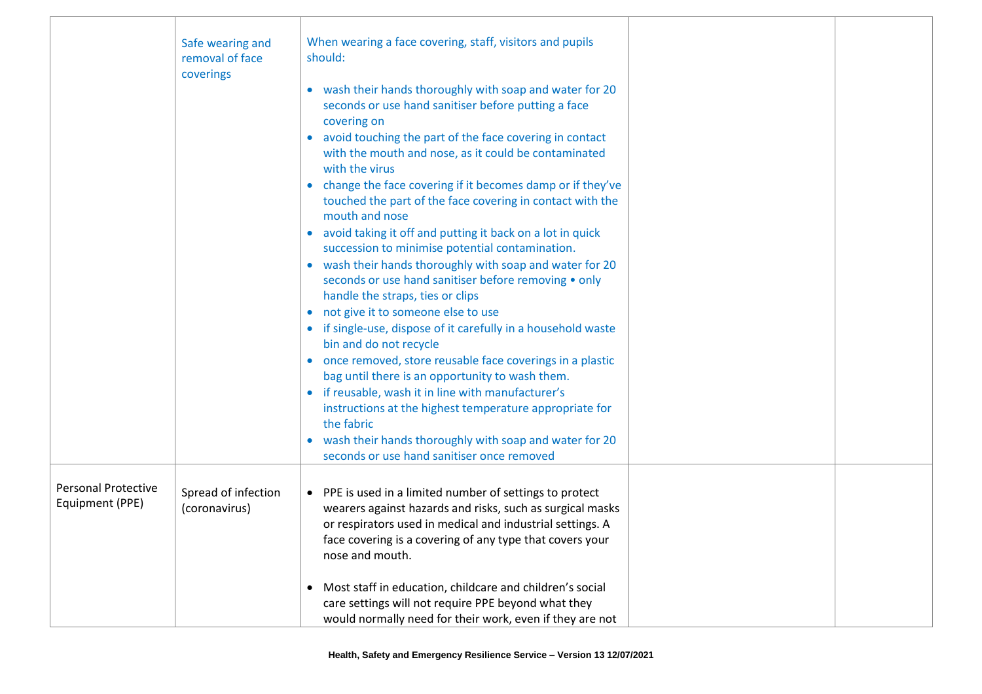|                                               | Safe wearing and<br>removal of face<br>coverings | When wearing a face covering, staff, visitors and pupils<br>should:<br>• wash their hands thoroughly with soap and water for 20                                                                                                                                   |  |
|-----------------------------------------------|--------------------------------------------------|-------------------------------------------------------------------------------------------------------------------------------------------------------------------------------------------------------------------------------------------------------------------|--|
|                                               |                                                  | seconds or use hand sanitiser before putting a face<br>covering on<br>avoid touching the part of the face covering in contact<br>with the mouth and nose, as it could be contaminated                                                                             |  |
|                                               |                                                  | with the virus<br>change the face covering if it becomes damp or if they've<br>$\bullet$<br>touched the part of the face covering in contact with the                                                                                                             |  |
|                                               |                                                  | mouth and nose<br>avoid taking it off and putting it back on a lot in quick<br>$\bullet$<br>succession to minimise potential contamination.<br>• wash their hands thoroughly with soap and water for 20                                                           |  |
|                                               |                                                  | seconds or use hand sanitiser before removing • only<br>handle the straps, ties or clips<br>• not give it to someone else to use                                                                                                                                  |  |
|                                               |                                                  | • if single-use, dispose of it carefully in a household waste<br>bin and do not recycle<br>• once removed, store reusable face coverings in a plastic                                                                                                             |  |
|                                               |                                                  | bag until there is an opportunity to wash them.<br>• if reusable, wash it in line with manufacturer's<br>instructions at the highest temperature appropriate for<br>the fabric                                                                                    |  |
|                                               |                                                  | wash their hands thoroughly with soap and water for 20<br>seconds or use hand sanitiser once removed                                                                                                                                                              |  |
| <b>Personal Protective</b><br>Equipment (PPE) | Spread of infection<br>(coronavirus)             | • PPE is used in a limited number of settings to protect<br>wearers against hazards and risks, such as surgical masks<br>or respirators used in medical and industrial settings. A<br>face covering is a covering of any type that covers your<br>nose and mouth. |  |
|                                               |                                                  | Most staff in education, childcare and children's social<br>$\bullet$<br>care settings will not require PPE beyond what they<br>would normally need for their work, even if they are not                                                                          |  |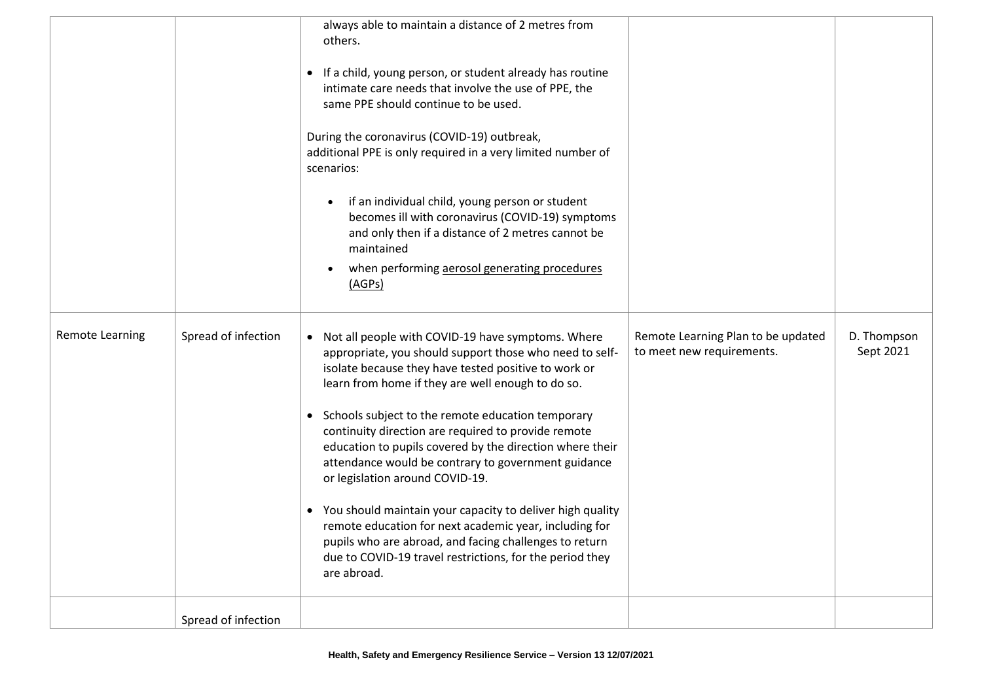|                        |                     | always able to maintain a distance of 2 metres from<br>others.<br>• If a child, young person, or student already has routine<br>intimate care needs that involve the use of PPE, the<br>same PPE should continue to be used.<br>During the coronavirus (COVID-19) outbreak,<br>additional PPE is only required in a very limited number of<br>scenarios:<br>if an individual child, young person or student<br>becomes ill with coronavirus (COVID-19) symptoms<br>and only then if a distance of 2 metres cannot be<br>maintained<br>when performing aerosol generating procedures<br>(AGPs)                                                                                                                                                               |                                                                 |                          |
|------------------------|---------------------|-------------------------------------------------------------------------------------------------------------------------------------------------------------------------------------------------------------------------------------------------------------------------------------------------------------------------------------------------------------------------------------------------------------------------------------------------------------------------------------------------------------------------------------------------------------------------------------------------------------------------------------------------------------------------------------------------------------------------------------------------------------|-----------------------------------------------------------------|--------------------------|
| <b>Remote Learning</b> | Spread of infection | Not all people with COVID-19 have symptoms. Where<br>appropriate, you should support those who need to self-<br>isolate because they have tested positive to work or<br>learn from home if they are well enough to do so.<br>• Schools subject to the remote education temporary<br>continuity direction are required to provide remote<br>education to pupils covered by the direction where their<br>attendance would be contrary to government guidance<br>or legislation around COVID-19.<br>• You should maintain your capacity to deliver high quality<br>remote education for next academic year, including for<br>pupils who are abroad, and facing challenges to return<br>due to COVID-19 travel restrictions, for the period they<br>are abroad. | Remote Learning Plan to be updated<br>to meet new requirements. | D. Thompson<br>Sept 2021 |
|                        | Spread of infection |                                                                                                                                                                                                                                                                                                                                                                                                                                                                                                                                                                                                                                                                                                                                                             |                                                                 |                          |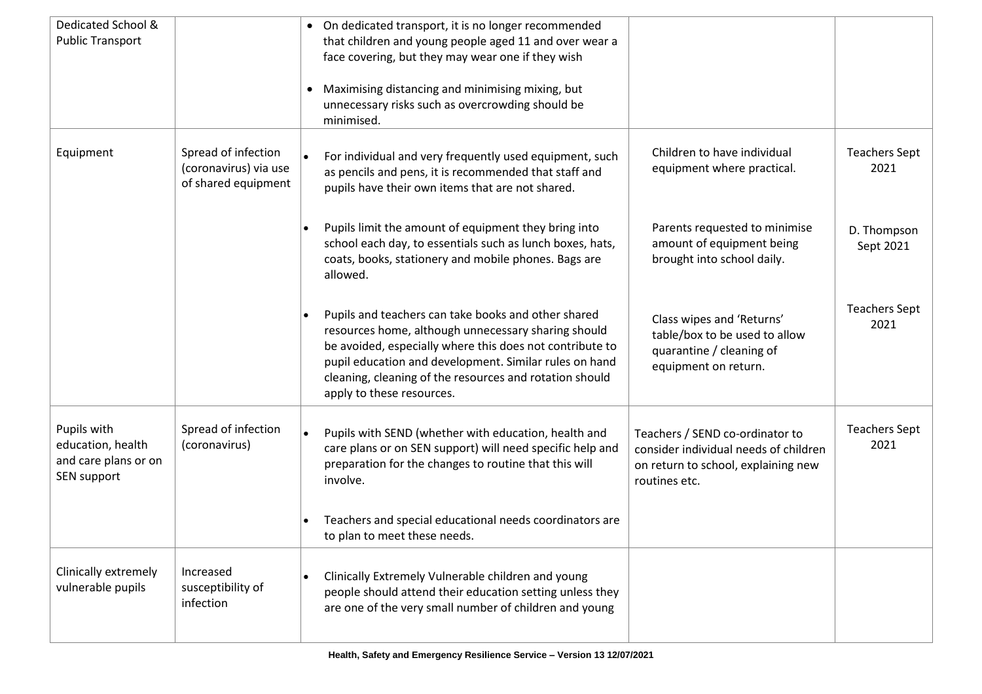| Dedicated School &<br><b>Public Transport</b>                           |                                                                     | • On dedicated transport, it is no longer recommended<br>that children and young people aged 11 and over wear a<br>face covering, but they may wear one if they wish<br>Maximising distancing and minimising mixing, but<br>$\bullet$<br>unnecessary risks such as overcrowding should be<br>minimised.                  |                                                                                                                                  |                              |
|-------------------------------------------------------------------------|---------------------------------------------------------------------|--------------------------------------------------------------------------------------------------------------------------------------------------------------------------------------------------------------------------------------------------------------------------------------------------------------------------|----------------------------------------------------------------------------------------------------------------------------------|------------------------------|
| Equipment                                                               | Spread of infection<br>(coronavirus) via use<br>of shared equipment | For individual and very frequently used equipment, such<br>as pencils and pens, it is recommended that staff and<br>pupils have their own items that are not shared.                                                                                                                                                     | Children to have individual<br>equipment where practical.                                                                        | <b>Teachers Sept</b><br>2021 |
|                                                                         |                                                                     | Pupils limit the amount of equipment they bring into<br>school each day, to essentials such as lunch boxes, hats,<br>coats, books, stationery and mobile phones. Bags are<br>allowed.                                                                                                                                    | Parents requested to minimise<br>amount of equipment being<br>brought into school daily.                                         | D. Thompson<br>Sept 2021     |
|                                                                         |                                                                     | Pupils and teachers can take books and other shared<br>resources home, although unnecessary sharing should<br>be avoided, especially where this does not contribute to<br>pupil education and development. Similar rules on hand<br>cleaning, cleaning of the resources and rotation should<br>apply to these resources. | Class wipes and 'Returns'<br>table/box to be used to allow<br>quarantine / cleaning of<br>equipment on return.                   | <b>Teachers Sept</b><br>2021 |
| Pupils with<br>education, health<br>and care plans or on<br>SEN support | Spread of infection<br>(coronavirus)                                | Pupils with SEND (whether with education, health and<br>care plans or on SEN support) will need specific help and<br>preparation for the changes to routine that this will<br>involve.                                                                                                                                   | Teachers / SEND co-ordinator to<br>consider individual needs of children<br>on return to school, explaining new<br>routines etc. | <b>Teachers Sept</b><br>2021 |
|                                                                         |                                                                     | Teachers and special educational needs coordinators are<br>to plan to meet these needs.                                                                                                                                                                                                                                  |                                                                                                                                  |                              |
| Clinically extremely<br>vulnerable pupils                               | Increased<br>susceptibility of<br>infection                         | Clinically Extremely Vulnerable children and young<br>people should attend their education setting unless they<br>are one of the very small number of children and young                                                                                                                                                 |                                                                                                                                  |                              |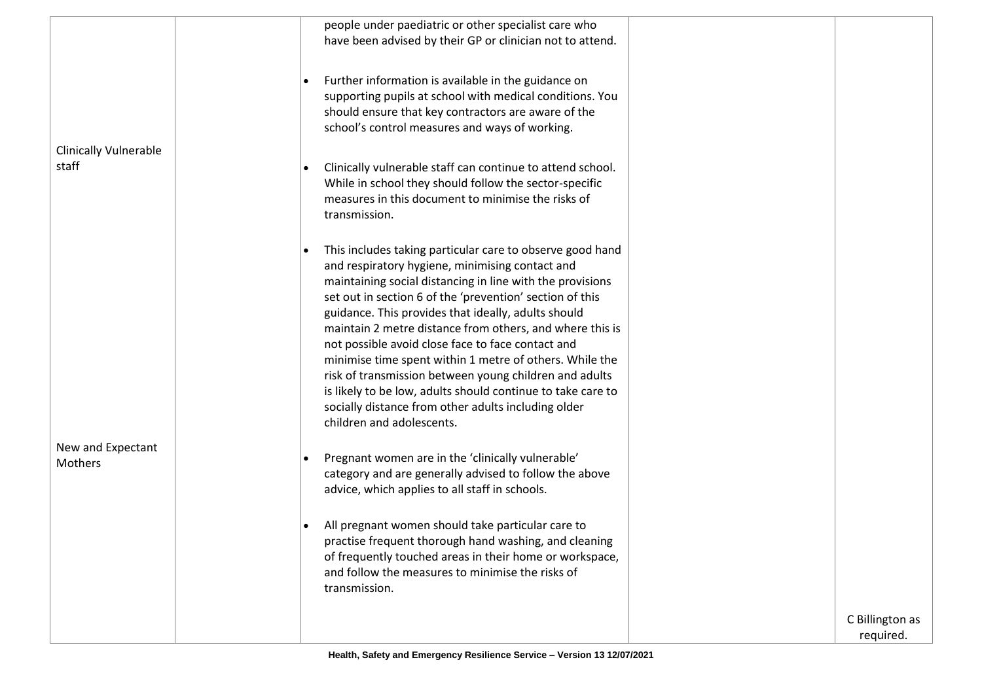|                                       | people under paediatric or other specialist care who<br>have been advised by their GP or clinician not to attend.                                                                                                                                                                                                                                                                                                                                                                                                                                                                                                                                                                     |                              |
|---------------------------------------|---------------------------------------------------------------------------------------------------------------------------------------------------------------------------------------------------------------------------------------------------------------------------------------------------------------------------------------------------------------------------------------------------------------------------------------------------------------------------------------------------------------------------------------------------------------------------------------------------------------------------------------------------------------------------------------|------------------------------|
| <b>Clinically Vulnerable</b><br>staff | Further information is available in the guidance on<br>supporting pupils at school with medical conditions. You<br>should ensure that key contractors are aware of the<br>school's control measures and ways of working.                                                                                                                                                                                                                                                                                                                                                                                                                                                              |                              |
|                                       | Clinically vulnerable staff can continue to attend school.<br>While in school they should follow the sector-specific<br>measures in this document to minimise the risks of<br>transmission.                                                                                                                                                                                                                                                                                                                                                                                                                                                                                           |                              |
|                                       | This includes taking particular care to observe good hand<br>and respiratory hygiene, minimising contact and<br>maintaining social distancing in line with the provisions<br>set out in section 6 of the 'prevention' section of this<br>guidance. This provides that ideally, adults should<br>maintain 2 metre distance from others, and where this is<br>not possible avoid close face to face contact and<br>minimise time spent within 1 metre of others. While the<br>risk of transmission between young children and adults<br>is likely to be low, adults should continue to take care to<br>socially distance from other adults including older<br>children and adolescents. |                              |
| New and Expectant<br>Mothers          | Pregnant women are in the 'clinically vulnerable'<br>category and are generally advised to follow the above<br>advice, which applies to all staff in schools.                                                                                                                                                                                                                                                                                                                                                                                                                                                                                                                         |                              |
|                                       | All pregnant women should take particular care to<br>practise frequent thorough hand washing, and cleaning<br>of frequently touched areas in their home or workspace,<br>and follow the measures to minimise the risks of<br>transmission.                                                                                                                                                                                                                                                                                                                                                                                                                                            |                              |
|                                       |                                                                                                                                                                                                                                                                                                                                                                                                                                                                                                                                                                                                                                                                                       | C Billington as<br>required. |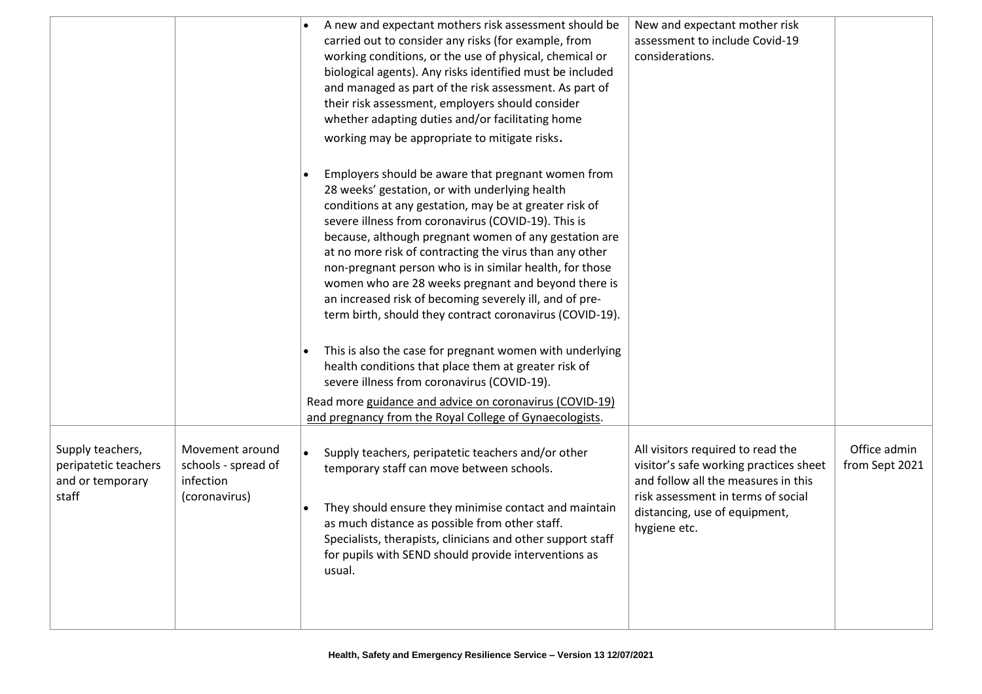|                                                                       |                                                                      | A new and expectant mothers risk assessment should be<br>carried out to consider any risks (for example, from<br>working conditions, or the use of physical, chemical or<br>biological agents). Any risks identified must be included<br>and managed as part of the risk assessment. As part of<br>their risk assessment, employers should consider<br>whether adapting duties and/or facilitating home<br>working may be appropriate to mitigate risks.                                                                                                                           | New and expectant mother risk<br>assessment to include Covid-19<br>considerations.                                                                                                                        |                                |
|-----------------------------------------------------------------------|----------------------------------------------------------------------|------------------------------------------------------------------------------------------------------------------------------------------------------------------------------------------------------------------------------------------------------------------------------------------------------------------------------------------------------------------------------------------------------------------------------------------------------------------------------------------------------------------------------------------------------------------------------------|-----------------------------------------------------------------------------------------------------------------------------------------------------------------------------------------------------------|--------------------------------|
|                                                                       |                                                                      | Employers should be aware that pregnant women from<br>28 weeks' gestation, or with underlying health<br>conditions at any gestation, may be at greater risk of<br>severe illness from coronavirus (COVID-19). This is<br>because, although pregnant women of any gestation are<br>at no more risk of contracting the virus than any other<br>non-pregnant person who is in similar health, for those<br>women who are 28 weeks pregnant and beyond there is<br>an increased risk of becoming severely ill, and of pre-<br>term birth, should they contract coronavirus (COVID-19). |                                                                                                                                                                                                           |                                |
|                                                                       |                                                                      | This is also the case for pregnant women with underlying<br>health conditions that place them at greater risk of<br>severe illness from coronavirus (COVID-19).                                                                                                                                                                                                                                                                                                                                                                                                                    |                                                                                                                                                                                                           |                                |
|                                                                       |                                                                      | Read more guidance and advice on coronavirus (COVID-19)<br>and pregnancy from the Royal College of Gynaecologists.                                                                                                                                                                                                                                                                                                                                                                                                                                                                 |                                                                                                                                                                                                           |                                |
| Supply teachers,<br>peripatetic teachers<br>and or temporary<br>staff | Movement around<br>schools - spread of<br>infection<br>(coronavirus) | $\bullet$<br>Supply teachers, peripatetic teachers and/or other<br>temporary staff can move between schools.<br>They should ensure they minimise contact and maintain<br>as much distance as possible from other staff.<br>Specialists, therapists, clinicians and other support staff<br>for pupils with SEND should provide interventions as<br>usual.                                                                                                                                                                                                                           | All visitors required to read the<br>visitor's safe working practices sheet<br>and follow all the measures in this<br>risk assessment in terms of social<br>distancing, use of equipment,<br>hygiene etc. | Office admin<br>from Sept 2021 |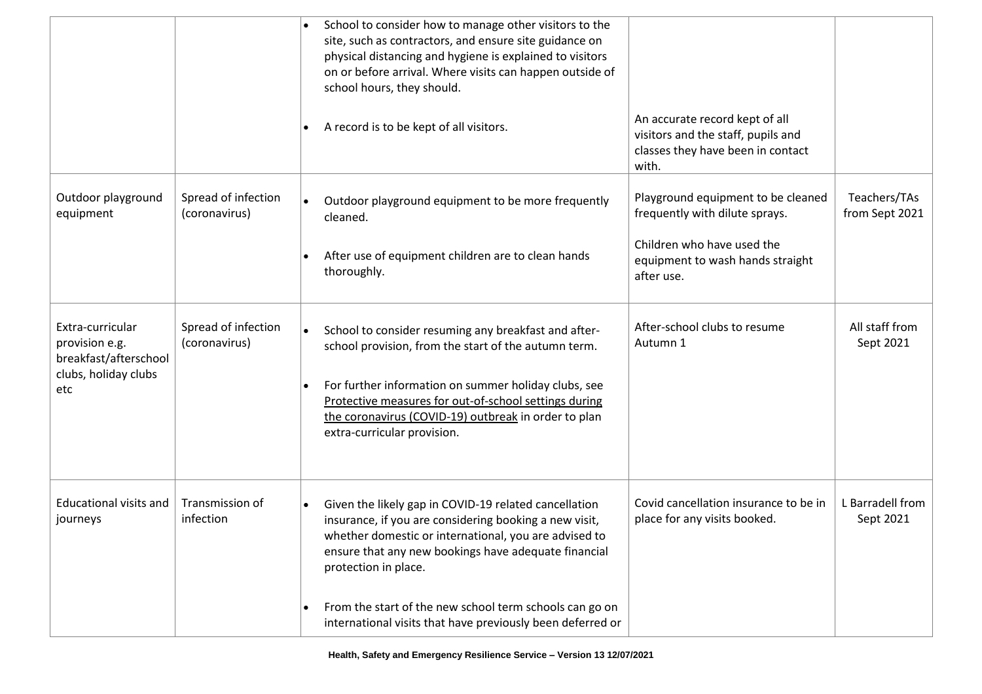|                                                                                            |                                      |           | School to consider how to manage other visitors to the<br>site, such as contractors, and ensure site guidance on<br>physical distancing and hygiene is explained to visitors<br>on or before arrival. Where visits can happen outside of<br>school hours, they should.                                               |                                                                                                                    |                                |
|--------------------------------------------------------------------------------------------|--------------------------------------|-----------|----------------------------------------------------------------------------------------------------------------------------------------------------------------------------------------------------------------------------------------------------------------------------------------------------------------------|--------------------------------------------------------------------------------------------------------------------|--------------------------------|
|                                                                                            |                                      | $\bullet$ | A record is to be kept of all visitors.                                                                                                                                                                                                                                                                              | An accurate record kept of all<br>visitors and the staff, pupils and<br>classes they have been in contact<br>with. |                                |
| Outdoor playground<br>equipment                                                            | Spread of infection<br>(coronavirus) | $\bullet$ | Outdoor playground equipment to be more frequently<br>cleaned.                                                                                                                                                                                                                                                       | Playground equipment to be cleaned<br>frequently with dilute sprays.                                               | Teachers/TAs<br>from Sept 2021 |
|                                                                                            |                                      |           | After use of equipment children are to clean hands<br>thoroughly.                                                                                                                                                                                                                                                    | Children who have used the<br>equipment to wash hands straight<br>after use.                                       |                                |
| Extra-curricular<br>provision e.g.<br>breakfast/afterschool<br>clubs, holiday clubs<br>etc | Spread of infection<br>(coronavirus) | $\bullet$ | School to consider resuming any breakfast and after-<br>school provision, from the start of the autumn term.<br>For further information on summer holiday clubs, see<br>Protective measures for out-of-school settings during<br>the coronavirus (COVID-19) outbreak in order to plan<br>extra-curricular provision. | After-school clubs to resume<br>Autumn 1                                                                           | All staff from<br>Sept 2021    |
| <b>Educational visits and</b><br>journeys                                                  | Transmission of<br>infection         | $\bullet$ | Given the likely gap in COVID-19 related cancellation<br>insurance, if you are considering booking a new visit,<br>whether domestic or international, you are advised to<br>ensure that any new bookings have adequate financial<br>protection in place.                                                             | Covid cancellation insurance to be in<br>place for any visits booked.                                              | L Barradell from<br>Sept 2021  |
|                                                                                            |                                      | $\bullet$ | From the start of the new school term schools can go on<br>international visits that have previously been deferred or                                                                                                                                                                                                |                                                                                                                    |                                |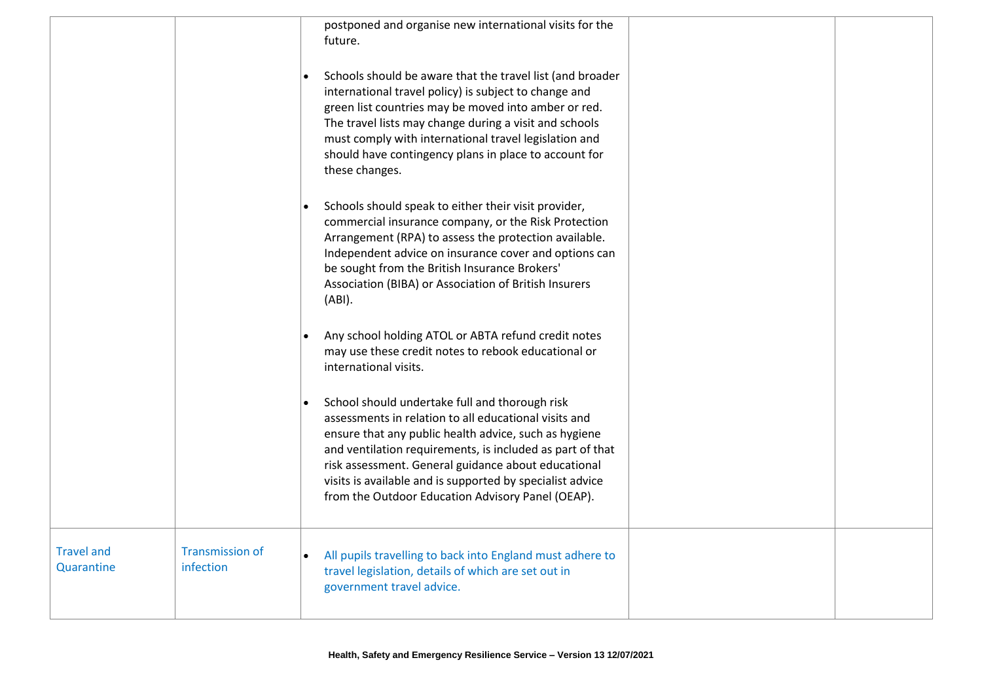|                                 |                                     | postponed and organise new international visits for the<br>future.<br>Schools should be aware that the travel list (and broader<br>international travel policy) is subject to change and<br>green list countries may be moved into amber or red.<br>The travel lists may change during a visit and schools<br>must comply with international travel legislation and<br>should have contingency plans in place to account for<br>these changes. |
|---------------------------------|-------------------------------------|------------------------------------------------------------------------------------------------------------------------------------------------------------------------------------------------------------------------------------------------------------------------------------------------------------------------------------------------------------------------------------------------------------------------------------------------|
|                                 |                                     | Schools should speak to either their visit provider,<br>commercial insurance company, or the Risk Protection<br>Arrangement (RPA) to assess the protection available.<br>Independent advice on insurance cover and options can<br>be sought from the British Insurance Brokers'<br>Association (BIBA) or Association of British Insurers<br>(ABI).                                                                                             |
|                                 |                                     | Any school holding ATOL or ABTA refund credit notes<br>may use these credit notes to rebook educational or<br>international visits.                                                                                                                                                                                                                                                                                                            |
|                                 |                                     | School should undertake full and thorough risk<br>$\bullet$<br>assessments in relation to all educational visits and<br>ensure that any public health advice, such as hygiene<br>and ventilation requirements, is included as part of that<br>risk assessment. General guidance about educational<br>visits is available and is supported by specialist advice<br>from the Outdoor Education Advisory Panel (OEAP).                            |
| <b>Travel and</b><br>Quarantine | <b>Transmission of</b><br>infection | All pupils travelling to back into England must adhere to<br>travel legislation, details of which are set out in<br>government travel advice.                                                                                                                                                                                                                                                                                                  |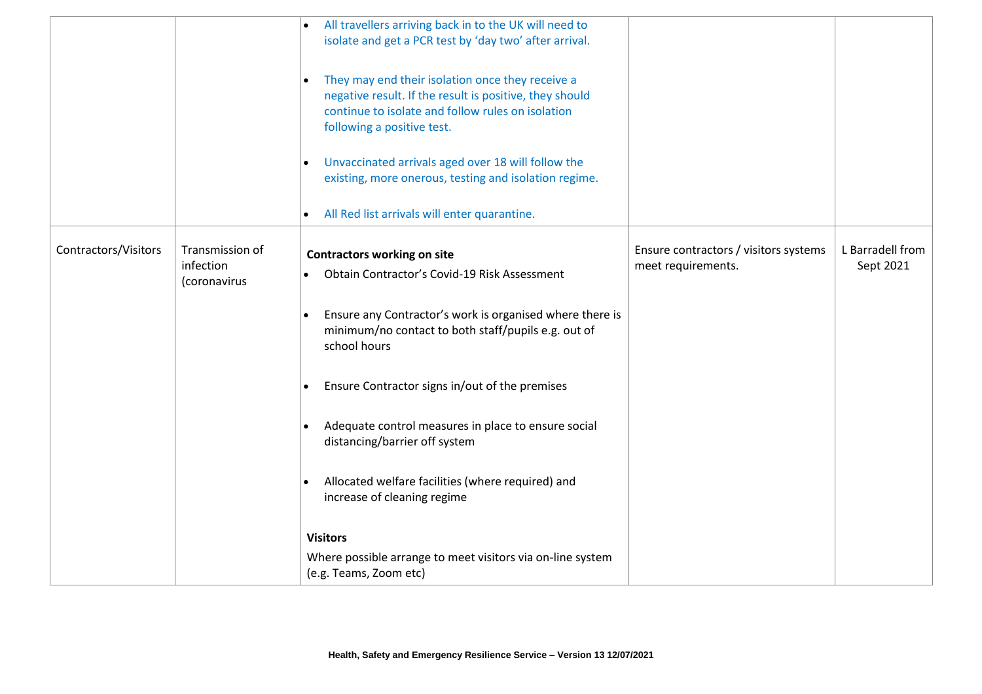|                      |                                              | All travellers arriving back in to the UK will need to<br>isolate and get a PCR test by 'day two' after arrival.<br>They may end their isolation once they receive a<br>negative result. If the result is positive, they should<br>continue to isolate and follow rules on isolation<br>following a positive test.<br>Unvaccinated arrivals aged over 18 will follow the<br>existing, more onerous, testing and isolation regime.<br>All Red list arrivals will enter quarantine.<br>$\bullet$ |                                                             |                               |
|----------------------|----------------------------------------------|------------------------------------------------------------------------------------------------------------------------------------------------------------------------------------------------------------------------------------------------------------------------------------------------------------------------------------------------------------------------------------------------------------------------------------------------------------------------------------------------|-------------------------------------------------------------|-------------------------------|
| Contractors/Visitors | Transmission of<br>infection<br>(coronavirus | <b>Contractors working on site</b><br>Obtain Contractor's Covid-19 Risk Assessment                                                                                                                                                                                                                                                                                                                                                                                                             | Ensure contractors / visitors systems<br>meet requirements. | L Barradell from<br>Sept 2021 |
|                      |                                              | Ensure any Contractor's work is organised where there is<br>minimum/no contact to both staff/pupils e.g. out of<br>school hours                                                                                                                                                                                                                                                                                                                                                                |                                                             |                               |
|                      |                                              | Ensure Contractor signs in/out of the premises                                                                                                                                                                                                                                                                                                                                                                                                                                                 |                                                             |                               |
|                      |                                              | Adequate control measures in place to ensure social<br>distancing/barrier off system                                                                                                                                                                                                                                                                                                                                                                                                           |                                                             |                               |
|                      |                                              | Allocated welfare facilities (where required) and<br>increase of cleaning regime                                                                                                                                                                                                                                                                                                                                                                                                               |                                                             |                               |
|                      |                                              | <b>Visitors</b>                                                                                                                                                                                                                                                                                                                                                                                                                                                                                |                                                             |                               |
|                      |                                              | Where possible arrange to meet visitors via on-line system<br>(e.g. Teams, Zoom etc)                                                                                                                                                                                                                                                                                                                                                                                                           |                                                             |                               |